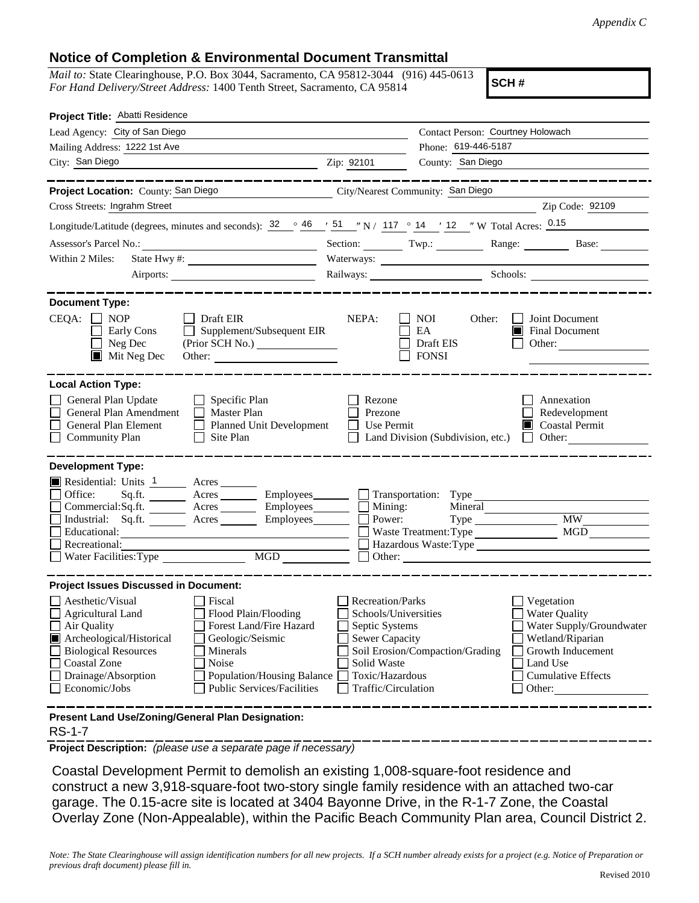## **Notice of Completion & Environmental Document Transmittal**

*Mail to:* State Clearinghouse, P.O. Box 3044, Sacramento, CA 95812-3044 (916) 445-0613 *For Hand Delivery/Street Address:* 1400 Tenth Street, Sacramento, CA 95814

**SCH #**

| Project Title: Abatti Residence                                                                                                                                                                                                                                                                                                                                                                         |                                                                                                                                                     |                                                                                           |                                                                                                                                                            |
|---------------------------------------------------------------------------------------------------------------------------------------------------------------------------------------------------------------------------------------------------------------------------------------------------------------------------------------------------------------------------------------------------------|-----------------------------------------------------------------------------------------------------------------------------------------------------|-------------------------------------------------------------------------------------------|------------------------------------------------------------------------------------------------------------------------------------------------------------|
| Lead Agency: City of San Diego                                                                                                                                                                                                                                                                                                                                                                          |                                                                                                                                                     | Contact Person: Courtney Holowach                                                         |                                                                                                                                                            |
| Mailing Address: 1222 1st Ave                                                                                                                                                                                                                                                                                                                                                                           |                                                                                                                                                     | Phone: 619-446-5187                                                                       |                                                                                                                                                            |
| City: San Diego <b>Calculation Contract City</b>                                                                                                                                                                                                                                                                                                                                                        | Zip: 92101                                                                                                                                          | County: San Diego                                                                         |                                                                                                                                                            |
| ________                                                                                                                                                                                                                                                                                                                                                                                                |                                                                                                                                                     |                                                                                           | . __ _ _ _ _ _ _ _ _ _ _ _ _                                                                                                                               |
| Project Location: County: San Diego                                                                                                                                                                                                                                                                                                                                                                     |                                                                                                                                                     | City/Nearest Community: San Diego                                                         |                                                                                                                                                            |
| Cross Streets: Ingrahm Street                                                                                                                                                                                                                                                                                                                                                                           |                                                                                                                                                     |                                                                                           | Zip Code: 92109                                                                                                                                            |
| Longitude/Latitude (degrees, minutes and seconds): $32 \degree$ $46 \degree$ $151 \degree$ N / $117 \degree$ 14 $\degree$ 12 $\degree$ W Total Acres: 0.15                                                                                                                                                                                                                                              |                                                                                                                                                     |                                                                                           |                                                                                                                                                            |
|                                                                                                                                                                                                                                                                                                                                                                                                         |                                                                                                                                                     |                                                                                           | Section: Twp.: Range: Base:                                                                                                                                |
| Within 2 Miles:                                                                                                                                                                                                                                                                                                                                                                                         |                                                                                                                                                     |                                                                                           |                                                                                                                                                            |
|                                                                                                                                                                                                                                                                                                                                                                                                         |                                                                                                                                                     |                                                                                           | Railways: Schools: Schools:                                                                                                                                |
| <b>Document Type:</b><br>$CEQA: \Box NOP$<br>    Draft EIR<br><b>Early Cons</b><br>Supplement/Subsequent EIR<br>$\mathbf{1}$<br>$\Box$ Neg Dec<br>$\blacksquare$ Mit Neg Dec<br>Other:                                                                                                                                                                                                                  | NEPA:                                                                                                                                               | <b>NOI</b><br>Other:<br>EA<br>Draft EIS<br><b>FONSI</b>                                   | Joint Document<br>Final Document<br>Other:                                                                                                                 |
| <b>Local Action Type:</b><br>General Plan Update<br>$\Box$ Specific Plan<br>General Plan Amendment<br>Master Plan<br>$\perp$<br>General Plan Element<br>Planned Unit Development<br><b>Community Plan</b><br>Site Plan<br>$\perp$                                                                                                                                                                       | Rezone<br>Prezone<br>Use Permit                                                                                                                     | Land Division (Subdivision, etc.)                                                         | Annexation<br>Redevelopment<br><b>Coastal Permit</b><br>$\blacksquare$ Other:                                                                              |
| <b>Development Type:</b><br>Residential: Units 1 Acres<br>Office:<br>Sq.ft. ________ Acres _________ Employees ________ __ Transportation: Type _____<br>Commercial:Sq.ft.<br>Acres Employees<br>Industrial: Sq.ft.<br>Acres<br>Employees<br>Educational:<br>Recreational:<br>$\underbrace{\text{MGD}}$<br>Water Facilities: Type                                                                       | Mining:<br>Power:                                                                                                                                   | Mineral<br>$Type \_\_$<br>Waste Treatment: Type<br>Hazardous Waste: Type<br>$\Box$ Other: | MW<br><b>MGD</b>                                                                                                                                           |
| <b>Project Issues Discussed in Document:</b><br>Aesthetic/Visual<br>Fiscal<br>$\Box$ Flood Plain/Flooding<br>Agricultural Land<br>Forest Land/Fire Hazard<br>Air Quality<br>Archeological/Historical<br>Geologic/Seismic<br><b>Biological Resources</b><br>Minerals<br>Noise<br>Coastal Zone<br>Drainage/Absorption<br>Population/Housing Balance<br><b>Public Services/Facilities</b><br>Economic/Jobs | <b>Recreation/Parks</b><br>Schools/Universities<br>Septic Systems<br><b>Sewer Capacity</b><br>Solid Waste<br>Toxic/Hazardous<br>Traffic/Circulation | Soil Erosion/Compaction/Grading                                                           | Vegetation<br><b>Water Quality</b><br>Water Supply/Groundwater<br>Wetland/Riparian<br>Growth Inducement<br>Land Use<br><b>Cumulative Effects</b><br>Other: |
| Present Land Use/Zoning/General Plan Designation:                                                                                                                                                                                                                                                                                                                                                       |                                                                                                                                                     |                                                                                           |                                                                                                                                                            |

RS-1-7

**Project Description:** *(please use a separate page if necessary)*

Coastal Development Permit to demolish an existing 1,008-square-foot residence and construct a new 3,918-square-foot two-story single family residence with an attached two-car garage. The 0.15-acre site is located at 3404 Bayonne Drive, in the R-1-7 Zone, the Coastal Overlay Zone (Non-Appealable), within the Pacific Beach Community Plan area, Council District 2.

*Note: The State Clearinghouse will assign identification numbers for all new projects. If a SCH number already exists for a project (e.g. Notice of Preparation or previous draft document) please fill in.*